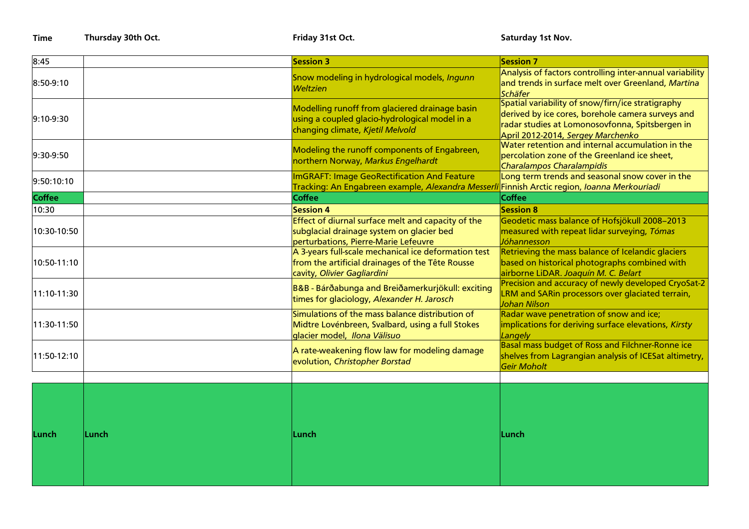**Time Thursday 30th Oct. All and Structure Controls and Structure Time Saturday 1st Nov. Saturday 1st Nov.** 

| 8:45          |       | <b>Session 3</b>                                                                                                                        | <b>Session 7</b>                                                                                                                                                                               |
|---------------|-------|-----------------------------------------------------------------------------------------------------------------------------------------|------------------------------------------------------------------------------------------------------------------------------------------------------------------------------------------------|
| 8:50-9:10     |       | Snow modeling in hydrological models, Ingunn<br><b>Weltzien</b>                                                                         | Analysis of factors controlling inter-annual variability<br>and trends in surface melt over Greenland, Martina<br>Schäfer                                                                      |
| $9:10-9:30$   |       | Modelling runoff from glaciered drainage basin<br>using a coupled glacio-hydrological model in a<br>changing climate, Kjetil Melvold    | Spatial variability of snow/firn/ice stratigraphy<br>derived by ice cores, borehole camera surveys and<br>radar studies at Lomonosovfonna, Spitsbergen in<br>April 2012-2014, Sergey Marchenko |
| 9:30-9:50     |       | Modeling the runoff components of Engabreen,<br>northern Norway, Markus Engelhardt                                                      | Water retention and internal accumulation in the<br>percolation zone of the Greenland ice sheet,<br>Charalampos Charalampidis                                                                  |
| 9:50:10:10    |       | <b>ImGRAFT: Image GeoRectification And Feature</b>                                                                                      | Long term trends and seasonal snow cover in the                                                                                                                                                |
|               |       | Tracking: An Engabreen example, Alexandra Messerli                                                                                      | Finnish Arctic region, Ioanna Merkouriadi                                                                                                                                                      |
| <b>Coffee</b> |       | <b>Coffee</b>                                                                                                                           | Coffee                                                                                                                                                                                         |
| 10:30         |       | <b>Session 4</b>                                                                                                                        | <b>Session 8</b>                                                                                                                                                                               |
| 10:30-10:50   |       | Effect of diurnal surface melt and capacity of the<br>subglacial drainage system on glacier bed<br>perturbations, Pierre-Marie Lefeuvre | Geodetic mass balance of Hofsjökull 2008-2013<br>measured with repeat lidar surveying, Tómas<br>Jóhannesson                                                                                    |
| 10:50-11:10   |       | A 3-years full-scale mechanical ice deformation test<br>from the artificial drainages of the Tête Rousse<br>cavity, Olivier Gagliardini | Retrieving the mass balance of Icelandic glaciers<br>based on historical photographs combined with<br>airborne LiDAR. Joaquín M. C. Belart                                                     |
| 11:10-11:30   |       | B&B - Bárðabunga and Breiðamerkurjökull: exciting<br>times for glaciology, Alexander H. Jarosch                                         | Precision and accuracy of newly developed CryoSat-2<br>LRM and SARin processors over glaciated terrain,<br>Johan Nilson                                                                        |
| 11:30-11:50   |       | Simulations of the mass balance distribution of<br>Midtre Lovénbreen, Svalbard, using a full Stokes<br>glacier model, Ilona Välisuo     | Radar wave penetration of snow and ice;<br>implications for deriving surface elevations, Kirsty<br>Langely                                                                                     |
| 11:50-12:10   |       | A rate-weakening flow law for modeling damage<br>evolution, Christopher Borstad                                                         | Basal mass budget of Ross and Filchner-Ronne ice<br>shelves from Lagrangian analysis of ICESat altimetry,<br>Geir Moholt                                                                       |
|               |       |                                                                                                                                         |                                                                                                                                                                                                |
| Lunch         | Lunch | Lunch                                                                                                                                   | Lunch                                                                                                                                                                                          |